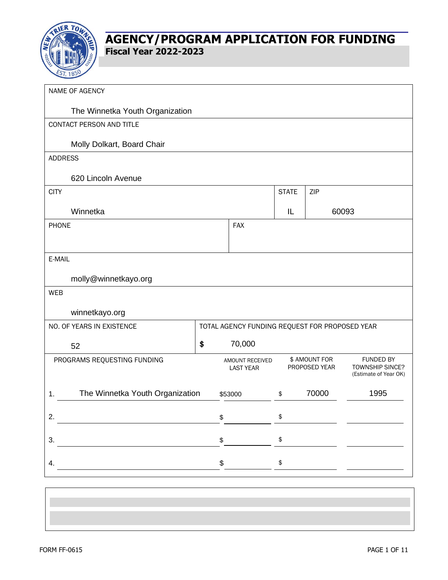

| NAME OF AGENCY                                                     |                                                |                                           |                                                                                                       |       |      |
|--------------------------------------------------------------------|------------------------------------------------|-------------------------------------------|-------------------------------------------------------------------------------------------------------|-------|------|
| The Winnetka Youth Organization                                    |                                                |                                           |                                                                                                       |       |      |
| CONTACT PERSON AND TITLE                                           |                                                |                                           |                                                                                                       |       |      |
| Molly Dolkart, Board Chair                                         |                                                |                                           |                                                                                                       |       |      |
| <b>ADDRESS</b>                                                     |                                                |                                           |                                                                                                       |       |      |
| 620 Lincoln Avenue                                                 |                                                |                                           |                                                                                                       |       |      |
| <b>CITY</b>                                                        |                                                |                                           | <b>STATE</b>                                                                                          | ZIP   |      |
| Winnetka                                                           |                                                |                                           | IL                                                                                                    | 60093 |      |
| <b>PHONE</b>                                                       |                                                | <b>FAX</b>                                |                                                                                                       |       |      |
|                                                                    |                                                |                                           |                                                                                                       |       |      |
| E-MAIL                                                             |                                                |                                           |                                                                                                       |       |      |
| molly@winnetkayo.org                                               |                                                |                                           |                                                                                                       |       |      |
| <b>WEB</b>                                                         |                                                |                                           |                                                                                                       |       |      |
| winnetkayo.org                                                     |                                                |                                           |                                                                                                       |       |      |
| NO. OF YEARS IN EXISTENCE                                          | TOTAL AGENCY FUNDING REQUEST FOR PROPOSED YEAR |                                           |                                                                                                       |       |      |
| 52                                                                 | \$                                             | 70,000                                    |                                                                                                       |       |      |
| PROGRAMS REQUESTING FUNDING<br>AMOUNT RECEIVED<br><b>LAST YEAR</b> |                                                |                                           | \$ AMOUNT FOR<br><b>FUNDED BY</b><br>PROPOSED YEAR<br><b>TOWNSHIP SINCE?</b><br>(Estimate of Year OK) |       |      |
| The Winnetka Youth Organization<br>1.<br>\$53000                   |                                                |                                           | \$                                                                                                    | 70000 | 1995 |
| \$<br>2.                                                           |                                                | $\, \, \raisebox{12pt}{$\scriptstyle \$}$ |                                                                                                       |       |      |
| 3.                                                                 | \$                                             |                                           | $\pmb{\$}$                                                                                            |       |      |
| \$<br>4.                                                           |                                                |                                           | $\pmb{\$}$                                                                                            |       |      |
|                                                                    |                                                |                                           |                                                                                                       |       |      |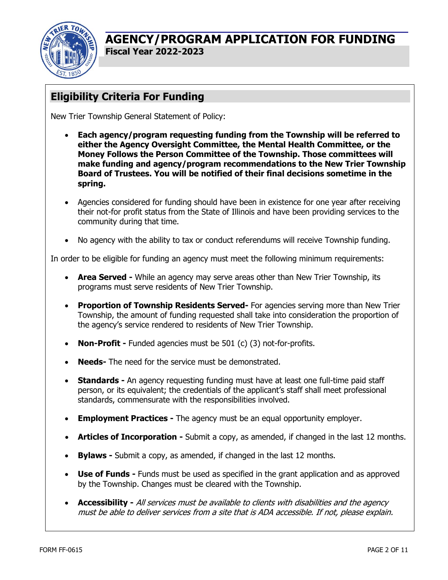

# **Eligibility Criteria For Funding**

New Trier Township General Statement of Policy:

- **Each agency/program requesting funding from the Township will be referred to either the Agency Oversight Committee, the Mental Health Committee, or the Money Follows the Person Committee of the Township. Those committees will make funding and agency/program recommendations to the New Trier Township Board of Trustees. You will be notified of their final decisions sometime in the spring.**
- Agencies considered for funding should have been in existence for one year after receiving their not-for profit status from the State of Illinois and have been providing services to the community during that time.
- No agency with the ability to tax or conduct referendums will receive Township funding.

In order to be eligible for funding an agency must meet the following minimum requirements:

- **Area Served -** While an agency may serve areas other than New Trier Township, its programs must serve residents of New Trier Township.
- **Proportion of Township Residents Served-** For agencies serving more than New Trier Township, the amount of funding requested shall take into consideration the proportion of the agency's service rendered to residents of New Trier Township.
- **Non-Profit -** Funded agencies must be 501 (c) (3) not-for-profits.
- **Needs-** The need for the service must be demonstrated.
- **Standards -** An agency requesting funding must have at least one full-time paid staff person, or its equivalent; the credentials of the applicant's staff shall meet professional standards, commensurate with the responsibilities involved.
- **Employment Practices -** The agency must be an equal opportunity employer.
- **Articles of Incorporation -** Submit a copy, as amended, if changed in the last 12 months.
- **Bylaws -** Submit a copy, as amended, if changed in the last 12 months.
- **Use of Funds -** Funds must be used as specified in the grant application and as approved by the Township. Changes must be cleared with the Township.
- **Accessibility -** All services must be available to clients with disabilities and the agency must be able to deliver services from a site that is ADA accessible. If not, please explain.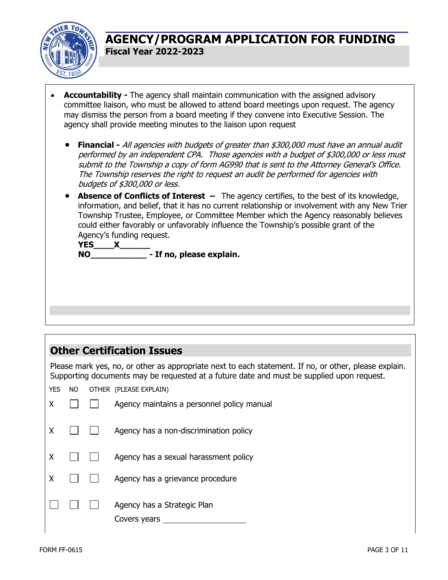

- **Accountability -** The agency shall maintain communication with the assigned advisory committee liaison, who must be allowed to attend board meetings upon request. The agency may dismiss the person from a board meeting if they convene into Executive Session. The agency shall provide meeting minutes to the liaison upon request
	- **Financial -** All agencies with budgets of greater than \$300,000 must have an annual audit performed by an independent CPA. Those agencies with a budget of \$300,000 or less must submit to the Township a copy of form AG990 that is sent to the Attorney General's Office. The Township reserves the right to request an audit be performed for agencies with budgets of \$300,000 or less.
	- **Absence of Conflicts of Interest** The agency certifies, to the best of its knowledge, information, and belief, that it has no current relationship or involvement with any New Trier Township Trustee, Employee, or Committee Member which the Agency reasonably believes could either favorably or unfavorably influence the Township's possible grant of the Agency's funding request.

**YES\_\_\_\_X\_\_\_\_\_\_ NO\_\_\_\_\_\_\_\_\_\_\_ - If no, please explain.**

### **Other Certification Issues**

Please mark yes, no, or other as appropriate next to each statement. If no, or other, please explain. Supporting documents may be requested at a future date and must be supplied upon request.

YES NO OTHER (PLEASE EXPLAIN)

|  | Agency maintains a personnel policy manual  |
|--|---------------------------------------------|
|  | Agency has a non-discrimination policy      |
|  | Agency has a sexual harassment policy       |
|  | Agency has a grievance procedure            |
|  | Agency has a Strategic Plan<br>Covers years |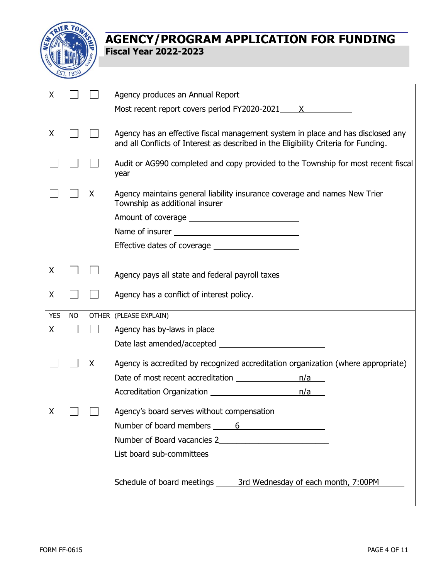

| X          |           |   | Agency produces an Annual Report                                                                                                                                       |
|------------|-----------|---|------------------------------------------------------------------------------------------------------------------------------------------------------------------------|
|            |           |   | Most recent report covers period FY2020-2021 X                                                                                                                         |
| X          |           |   | Agency has an effective fiscal management system in place and has disclosed any<br>and all Conflicts of Interest as described in the Eligibility Criteria for Funding. |
|            |           |   | Audit or AG990 completed and copy provided to the Township for most recent fiscal<br>year                                                                              |
|            |           | X | Agency maintains general liability insurance coverage and names New Trier<br>Township as additional insurer                                                            |
|            |           |   |                                                                                                                                                                        |
|            |           |   |                                                                                                                                                                        |
|            |           |   |                                                                                                                                                                        |
| X          |           |   | Agency pays all state and federal payroll taxes                                                                                                                        |
| X          |           |   | Agency has a conflict of interest policy.                                                                                                                              |
| <b>YES</b> | <b>NO</b> |   | OTHER (PLEASE EXPLAIN)                                                                                                                                                 |
| X          |           |   | Agency has by-laws in place                                                                                                                                            |
|            |           |   |                                                                                                                                                                        |
|            |           | X | Agency is accredited by recognized accreditation organization (where appropriate)                                                                                      |
|            |           |   | Date of most recent accreditation<br>n/a                                                                                                                               |
|            |           |   | n/a                                                                                                                                                                    |
| X          |           |   | Agency's board serves without compensation<br>Number of board members 6                                                                                                |
|            |           |   |                                                                                                                                                                        |
|            |           |   |                                                                                                                                                                        |
|            |           |   | Schedule of board meetings _______ 3rd Wednesday of each month, 7:00PM                                                                                                 |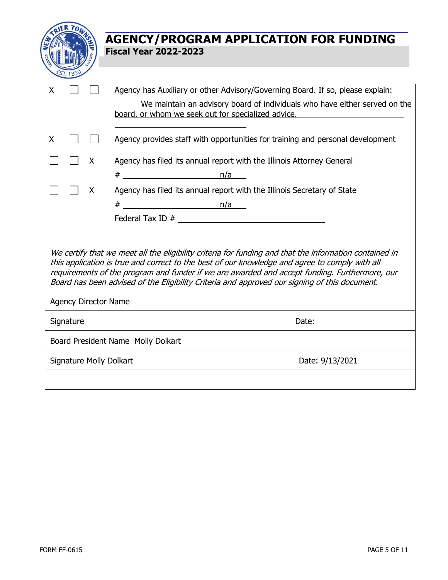|                                                                                                                                                                                                                                                                                                                                                                                                                                                                                                       | <b>AGENCY/PROGRAM APPLICATION FOR FUNDING</b><br><b>Fiscal Year 2022-2023</b>                                                                                                                                                                                                                                                                                                                                                                                       |  |  |  |  |  |
|-------------------------------------------------------------------------------------------------------------------------------------------------------------------------------------------------------------------------------------------------------------------------------------------------------------------------------------------------------------------------------------------------------------------------------------------------------------------------------------------------------|---------------------------------------------------------------------------------------------------------------------------------------------------------------------------------------------------------------------------------------------------------------------------------------------------------------------------------------------------------------------------------------------------------------------------------------------------------------------|--|--|--|--|--|
| Χ<br>X<br>X<br>X                                                                                                                                                                                                                                                                                                                                                                                                                                                                                      | Agency has Auxiliary or other Advisory/Governing Board. If so, please explain:<br>We maintain an advisory board of individuals who have either served on the<br>board, or whom we seek out for specialized advice.<br>Agency provides staff with opportunities for training and personal development<br>Agency has filed its annual report with the Illinois Attorney General<br>$#$ n/a<br>Agency has filed its annual report with the Illinois Secretary of State |  |  |  |  |  |
| We certify that we meet all the eligibility criteria for funding and that the information contained in<br>this application is true and correct to the best of our knowledge and agree to comply with all<br>requirements of the program and funder if we are awarded and accept funding. Furthermore, our<br>Board has been advised of the Eligibility Criteria and approved our signing of this document.<br><b>Agency Director Name</b><br>Signature<br>Date:<br>Board President Name Molly Dolkart |                                                                                                                                                                                                                                                                                                                                                                                                                                                                     |  |  |  |  |  |
| <b>Signature Molly Dolkart</b>                                                                                                                                                                                                                                                                                                                                                                                                                                                                        | Date: 9/13/2021                                                                                                                                                                                                                                                                                                                                                                                                                                                     |  |  |  |  |  |
|                                                                                                                                                                                                                                                                                                                                                                                                                                                                                                       |                                                                                                                                                                                                                                                                                                                                                                                                                                                                     |  |  |  |  |  |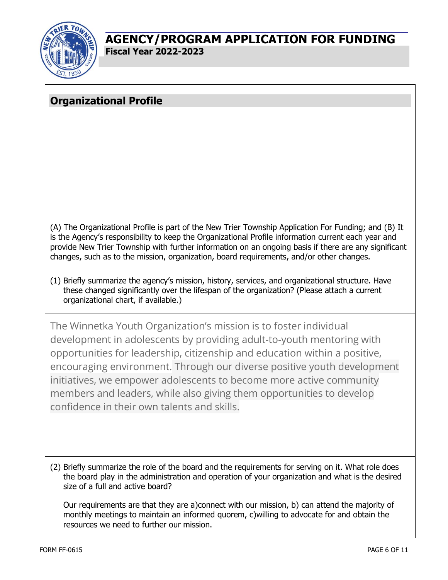

# **Organizational Profile**

(A) The Organizational Profile is part of the New Trier Township Application For Funding; and (B) It is the Agency's responsibility to keep the Organizational Profile information current each year and provide New Trier Township with further information on an ongoing basis if there are any significant changes, such as to the mission, organization, board requirements, and/or other changes.

(1) Briefly summarize the agency's mission, history, services, and organizational structure. Have these changed significantly over the lifespan of the organization? (Please attach a current organizational chart, if available.)

The Winnetka Youth Organization's mission is to foster individual development in adolescents by providing adult-to-youth mentoring with opportunities for leadership, citizenship and education within a positive, encouraging environment. Through our diverse positive youth development initiatives, we empower adolescents to become more active community members and leaders, while also giving them opportunities to develop confidence in their own talents and skills.

(2) Briefly summarize the role of the board and the requirements for serving on it. What role does the board play in the administration and operation of your organization and what is the desired size of a full and active board?

Our requirements are that they are a)connect with our mission, b) can attend the majority of monthly meetings to maintain an informed quorem, c)willing to advocate for and obtain the resources we need to further our mission.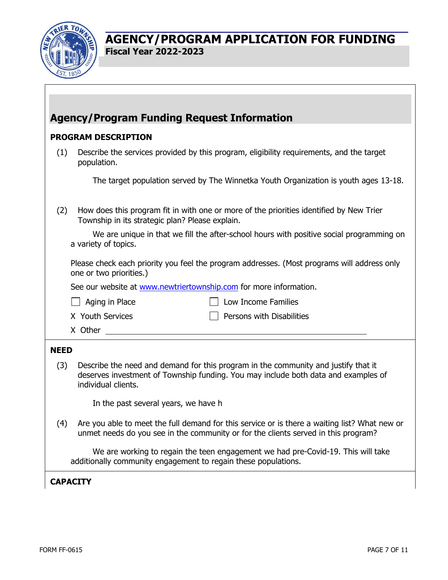

# **Agency/Program Funding Request Information**

### **PROGRAM DESCRIPTION**

| (1) | Describe the services provided by this program, eligibility requirements, and the target<br>population. |
|-----|---------------------------------------------------------------------------------------------------------|
|     |                                                                                                         |

The target population served by The Winnetka Youth Organization is youth ages 13-18.

(2) How does this program fit in with one or more of the priorities identified by New Trier Township in its strategic plan? Please explain.

We are unique in that we fill the after-school hours with positive social programming on a variety of topics.

Please check each priority you feel the program addresses. (Most programs will address only one or two priorities.)

See our website at [www.newtriertownship.com](http://www.newtriertownship.com/) for more information.

 $\Box$  Aging in Place  $\Box$  Low Income Families

 $X$  Youth Services  $\Pi$  Persons with Disabilities

X Other

#### **NEED**

(3) Describe the need and demand for this program in the community and justify that it deserves investment of Township funding. You may include both data and examples of individual clients.

In the past several years, we have h

(4) Are you able to meet the full demand for this service or is there a waiting list? What new or unmet needs do you see in the community or for the clients served in this program?

We are working to regain the teen engagement we had pre-Covid-19. This will take additionally community engagement to regain these populations.

### **CAPACITY**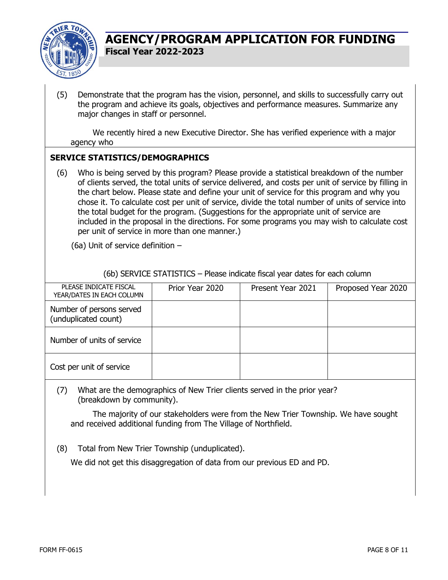

(5) Demonstrate that the program has the vision, personnel, and skills to successfully carry out the program and achieve its goals, objectives and performance measures. Summarize any major changes in staff or personnel.

We recently hired a new Executive Director. She has verified experience with a major agency who

#### **SERVICE STATISTICS/DEMOGRAPHICS**

(6) Who is being served by this program? Please provide a statistical breakdown of the number of clients served, the total units of service delivered, and costs per unit of service by filling in the chart below. Please state and define your unit of service for this program and why you chose it. To calculate cost per unit of service, divide the total number of units of service into the total budget for the program. (Suggestions for the appropriate unit of service are included in the proposal in the directions. For some programs you may wish to calculate cost per unit of service in more than one manner.)

(6a) Unit of service definition –

(6b) SERVICE STATISTICS – Please indicate fiscal year dates for each column

| PLEASE INDICATE FISCAL<br>YEAR/DATES IN EACH COLUMN | Prior Year 2020 | Present Year 2021 | Proposed Year 2020 |
|-----------------------------------------------------|-----------------|-------------------|--------------------|
| Number of persons served<br>(unduplicated count)    |                 |                   |                    |
| Number of units of service                          |                 |                   |                    |
| Cost per unit of service                            |                 |                   |                    |

(7) What are the demographics of New Trier clients served in the prior year? (breakdown by community).

The majority of our stakeholders were from the New Trier Township. We have sought and received additional funding from The Village of Northfield.

(8) Total from New Trier Township (unduplicated).

We did not get this disaggregation of data from our previous ED and PD.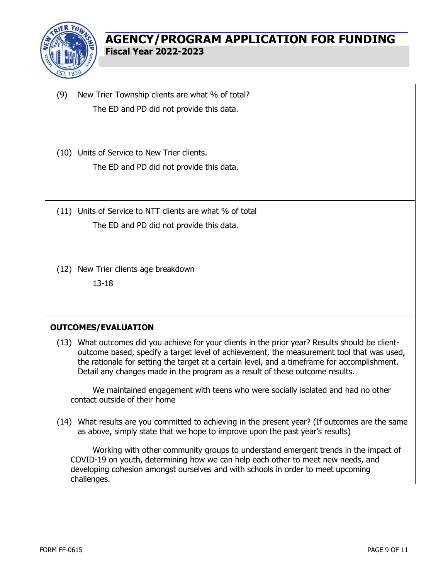

- (9) New Trier Township clients are what % of total? The ED and PD did not provide this data.
- (10) Units of Service to New Trier clients. The ED and PD did not provide this data.
- (11) Units of Service to NTT clients are what % of total The ED and PD did not provide this data.
- (12) New Trier clients age breakdown 13-18

#### **OUTCOMES/EVALUATION**

(13) What outcomes did you achieve for your clients in the prior year? Results should be clientoutcome based, specify a target level of achievement, the measurement tool that was used, the rationale for setting the target at a certain level, and a timeframe for accomplishment. Detail any changes made in the program as a result of these outcome results.

We maintained engagement with teens who were socially isolated and had no other contact outside of their home

(14) What results are you committed to achieving in the present year? (If outcomes are the same as above, simply state that we hope to improve upon the past year's results)

Working with other community groups to understand emergent trends in the impact of COVID-19 on youth, determining how we can help each other to meet new needs, and developing cohesion amongst ourselves and with schools in order to meet upcoming challenges.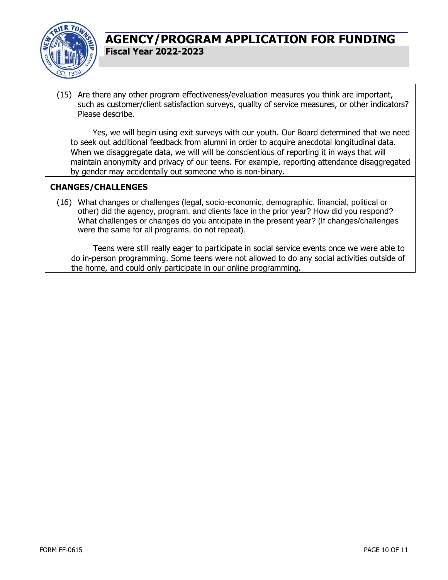

(15) Are there any other program effectiveness/evaluation measures you think are important, such as customer/client satisfaction surveys, quality of service measures, or other indicators? Please describe.

Yes, we will begin using exit surveys with our youth. Our Board determined that we need to seek out additional feedback from alumni in order to acquire anecdotal longitudinal data. When we disaggregate data, we will will be conscientious of reporting it in ways that will maintain anonymity and privacy of our teens. For example, reporting attendance disaggregated by gender may accidentally out someone who is non-binary.

### **CHANGES/CHALLENGES**

(16) What changes or challenges (legal, socio-economic, demographic, financial, political or other) did the agency, program, and clients face in the prior year? How did you respond? What challenges or changes do you anticipate in the present year? (If changes/challenges were the same for all programs, do not repeat).

Teens were still really eager to participate in social service events once we were able to do in-person programming. Some teens were not allowed to do any social activities outside of the home, and could only participate in our online programming.